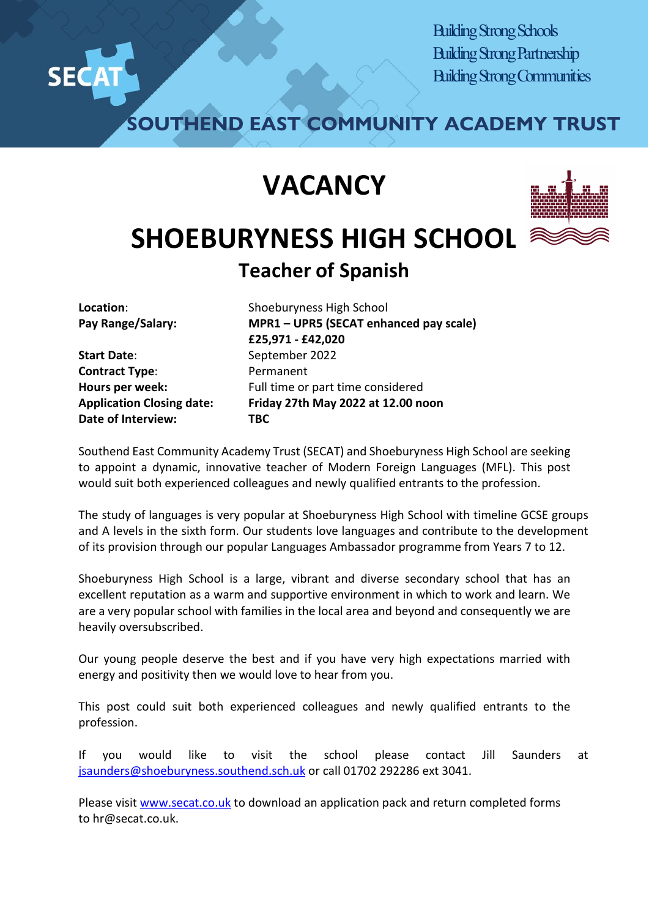

Building Strong Schools Building Strong Partnership Building Strong Communities

**SOUTHEND EAST COMMUNITY ACADEMY TRUST**

## **VACANCY**



**Location**: **Pay Range/Salary:** 

**Start Date**: **Contract Type**: **Hours per week: Application Closing date: Date of Interview:**

Shoeburyness High School **MPR1 – UPR5 (SECAT enhanced pay scale) £25,971 - £42,020** September 2022 Permanent Full time or part time considered **Friday 27th May 2022 at 12.00 noon TBC**

Southend East Community Academy Trust (SECAT) and Shoeburyness High School are seeking to appoint a dynamic, innovative teacher of Modern Foreign Languages (MFL). This post would suit both experienced colleagues and newly qualified entrants to the profession.

The study of languages is very popular at Shoeburyness High School with timeline GCSE groups and A levels in the sixth form. Our students love languages and contribute to the development of its provision through our popular Languages Ambassador programme from Years 7 to 12.

Shoeburyness High School is a large, vibrant and diverse secondary school that has an excellent reputation as a warm and supportive environment in which to work and learn. We are a very popular school with families in the local area and beyond and consequently we are heavily oversubscribed.

Our young people deserve the best and if you have very high expectations married with energy and positivity then we would love to hear from you.

This post could suit both experienced colleagues and newly qualified entrants to the profession.

If you would like to visit the school please contact Jill Saunders at [jsaunders@shoeburyness.southend.sch.uk](mailto:jsaunders@shoeburyness.southend.sch.uk) or call 01702 292286 ext 3041.

Please visit [www.secat.co.uk](http://www.secat.co.uk/) to download an application pack and return completed forms to hr@secat.co.uk.